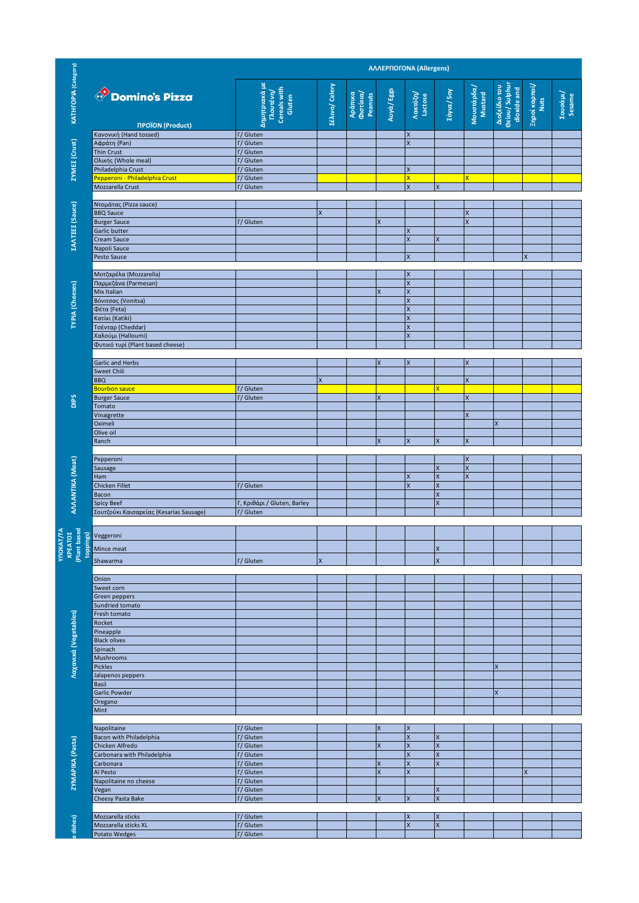|                                      |                                                              |                                                      | <b>AAAEPFIOFONA (Allergens)</b> |                                 |                           |                              |                                        |                           |                                                |                              |                    |  |
|--------------------------------------|--------------------------------------------------------------|------------------------------------------------------|---------------------------------|---------------------------------|---------------------------|------------------------------|----------------------------------------|---------------------------|------------------------------------------------|------------------------------|--------------------|--|
| <b>KATHFOPIA</b> (Category)          | Comino's Pizza<br><b><i><u>IPOÏON</u></i></b> (Product)      | Δημητριακά με<br>Cereals with<br>[Noutévn]<br>Gluten | <b>Zέλινο/ Celery</b>           | Φιστίκια/<br>Αράπικα<br>Peanuts | Auyá/Eggs                 | Λακτόζη/<br>Lactose          | <b>Σόγια/ Soy</b>                      | Μουστάρδα/<br>Mustard     | Διοξείδιο του<br>Θείου/ Sulphur<br>dioxide and | Ξηροί καρποί/<br><b>Nuts</b> | Σουσάμι/<br>Sesame |  |
|                                      | Κανονική (Hand tossed)                                       | <b>T/Gluten</b>                                      |                                 |                                 |                           | X<br>$\overline{\mathsf{x}}$ |                                        |                           |                                                |                              |                    |  |
| ZYMEZ (Crust)                        | Αφράτη (Pan)<br>Thin Crust                                   | <b>T/Gluten</b><br><b>T/Gluten</b>                   |                                 |                                 |                           |                              |                                        |                           |                                                |                              |                    |  |
|                                      | Ολικής (Whole meal)<br>Philadelphia Crust                    | <b>T/Gluten</b><br><b>F/Gluten</b>                   |                                 |                                 |                           | X                            |                                        |                           |                                                |                              |                    |  |
|                                      | Pepperoni - Philadelphia Crust                               | <b>T/Gluten</b>                                      |                                 |                                 |                           | x                            |                                        | $\overline{\mathsf{x}}$   |                                                |                              |                    |  |
|                                      | Mozzarella Crust                                             | <b>F/Gluten</b>                                      |                                 |                                 |                           | X                            | $\pmb{\mathsf{X}}$                     |                           |                                                |                              |                    |  |
|                                      | Ντομάτας (Pizza sauce)                                       |                                                      |                                 |                                 |                           |                              |                                        |                           |                                                |                              |                    |  |
| <b><i><u>ZANTZEZ</u></i></b> (Sauce) | <b>BBQ Sauce</b><br><b>Burger Sauce</b>                      | <b>T/Gluten</b>                                      | X                               |                                 | $\overline{\mathsf{x}}$   |                              |                                        | X<br>$\mathsf{x}$         |                                                |                              |                    |  |
|                                      | Garlic butter                                                |                                                      |                                 |                                 |                           | X                            |                                        |                           |                                                |                              |                    |  |
|                                      | Cream Sauce<br>Napoli Sauce                                  |                                                      |                                 |                                 |                           | X                            | X                                      |                           |                                                |                              |                    |  |
|                                      | Pesto Sauce                                                  |                                                      |                                 |                                 |                           | X                            |                                        |                           |                                                | X                            |                    |  |
|                                      | Μοτζαρέλα (Mozzarella)                                       |                                                      |                                 |                                 |                           | $\pmb{\mathsf{X}}$           |                                        |                           |                                                |                              |                    |  |
|                                      | Παρμεζάνα (Parmesan)                                         |                                                      |                                 |                                 |                           | $\overline{\mathsf{x}}$      |                                        |                           |                                                |                              |                    |  |
| <b>TYPIA</b> (Cheeses)               | Mix Italian<br>Βόνιτσας (Vonitsa)                            |                                                      |                                 |                                 | $\overline{\mathsf{x}}$   | X<br>X                       |                                        |                           |                                                |                              |                    |  |
|                                      | Φέτα (Feta)                                                  |                                                      |                                 |                                 |                           | $\mathsf{x}$                 |                                        |                           |                                                |                              |                    |  |
|                                      | Κατίκι (Katiki)<br>Τσένταρ (Cheddar)                         |                                                      |                                 |                                 |                           | $\mathsf{x}$<br>X            |                                        |                           |                                                |                              |                    |  |
|                                      | Χαλούμι (Halloumi)                                           |                                                      |                                 |                                 |                           | $\mathsf{x}$                 |                                        |                           |                                                |                              |                    |  |
|                                      | Φυτικό τυρί (Plant based cheese)                             |                                                      |                                 |                                 |                           |                              |                                        |                           |                                                |                              |                    |  |
|                                      | Garlic and Herbs                                             |                                                      |                                 |                                 | $\overline{\mathsf{x}}$   | X                            |                                        | $\boldsymbol{\mathsf{x}}$ |                                                |                              |                    |  |
|                                      | Sweet Chili<br><b>BBQ</b>                                    |                                                      | $\mathsf{x}$                    |                                 |                           |                              |                                        | X                         |                                                |                              |                    |  |
|                                      | <b>Bourbon sauce</b>                                         | <b>T/Gluten</b>                                      |                                 |                                 |                           |                              | x                                      |                           |                                                |                              |                    |  |
| DIPS                                 | <b>Burger Sauce</b><br>Tomato                                | <b>T/Gluten</b>                                      |                                 |                                 | $\boldsymbol{X}$          |                              |                                        | $\pmb{\mathsf{X}}$        |                                                |                              |                    |  |
|                                      | Vinaigrette                                                  |                                                      |                                 |                                 |                           |                              |                                        | $\boldsymbol{\mathsf{x}}$ |                                                |                              |                    |  |
|                                      | Oximeli<br>Olive oil                                         |                                                      |                                 |                                 |                           |                              |                                        |                           | X                                              |                              |                    |  |
|                                      | Ranch                                                        |                                                      |                                 |                                 | $\mathsf{x}$              | X                            | $\pmb{\mathsf{X}}$                     | $\pmb{\mathsf{X}}$        |                                                |                              |                    |  |
|                                      | Pepperoni                                                    |                                                      |                                 |                                 |                           |                              |                                        | $\mathsf X$               |                                                |                              |                    |  |
|                                      | Sausage                                                      |                                                      |                                 |                                 |                           |                              | X                                      | $\overline{\mathsf{x}}$   |                                                |                              |                    |  |
|                                      | Ham<br>Chicken Fillet                                        | <b>T/Gluten</b>                                      |                                 |                                 |                           | X<br>X                       | X<br>X                                 | $\mathsf{x}$              |                                                |                              |                    |  |
|                                      | Bacon                                                        |                                                      |                                 |                                 |                           |                              | $\mathsf X$                            |                           |                                                |                              |                    |  |
| AVVANTIKA (Meat)                     | <b>Spicy Beef</b><br>Σουτζούκι Καισαρείας (Kesarias Sausage) | Γ, Κριθάρι / Gluten, Barley<br><b>T/Gluten</b>       |                                 |                                 |                           |                              | $\pmb{\mathsf{X}}$                     |                           |                                                |                              |                    |  |
|                                      |                                                              |                                                      |                                 |                                 |                           |                              |                                        |                           |                                                |                              |                    |  |
|                                      | NE VOID SUN Veggeroni                                        |                                                      |                                 |                                 |                           |                              |                                        |                           |                                                |                              |                    |  |
|                                      | Mince meat                                                   |                                                      |                                 |                                 |                           |                              | $\boldsymbol{\mathsf{X}}$              |                           |                                                |                              |                    |  |
|                                      | Shawarma                                                     | <b>F/Gluten</b>                                      | $\overline{\mathsf{x}}$         |                                 |                           |                              | $\overline{\mathsf{x}}$                |                           |                                                |                              |                    |  |
|                                      | Onion                                                        |                                                      |                                 |                                 |                           |                              |                                        |                           |                                                |                              |                    |  |
|                                      | Sweet corn                                                   |                                                      |                                 |                                 |                           |                              |                                        |                           |                                                |                              |                    |  |
|                                      | Green peppers<br>Sundried tomato                             |                                                      |                                 |                                 |                           |                              |                                        |                           |                                                |                              |                    |  |
|                                      | Fresh tomato                                                 |                                                      |                                 |                                 |                           |                              |                                        |                           |                                                |                              |                    |  |
| Λαχανικά (Vegetables)                | Rocket<br>Pineapple                                          |                                                      |                                 |                                 |                           |                              |                                        |                           |                                                |                              |                    |  |
|                                      | <b>Black olives</b>                                          |                                                      |                                 |                                 |                           |                              |                                        |                           |                                                |                              |                    |  |
|                                      | Spinach<br><b>Mushrooms</b>                                  |                                                      |                                 |                                 |                           |                              |                                        |                           |                                                |                              |                    |  |
|                                      | <b>Pickles</b>                                               |                                                      |                                 |                                 |                           |                              |                                        |                           | X                                              |                              |                    |  |
|                                      | Jalapenos peppers<br>Basil                                   |                                                      |                                 |                                 |                           |                              |                                        |                           |                                                |                              |                    |  |
|                                      | Garlic Powder                                                |                                                      |                                 |                                 |                           |                              |                                        |                           | $\pmb{\mathsf{X}}$                             |                              |                    |  |
|                                      | Oregano<br>Mint                                              |                                                      |                                 |                                 |                           |                              |                                        |                           |                                                |                              |                    |  |
|                                      |                                                              |                                                      |                                 |                                 |                           |                              |                                        |                           |                                                |                              |                    |  |
|                                      | Napolitaine<br>Bacon with Philadelphia                       | <b>T/Gluten</b><br><b>T/Gluten</b>                   |                                 |                                 | $\boldsymbol{\mathsf{x}}$ | X<br>X                       | $\pmb{\mathsf{X}}$                     |                           |                                                |                              |                    |  |
|                                      | Chicken Alfredo                                              | <b>T/Gluten</b>                                      |                                 |                                 | X                         | X<br>$\overline{\mathsf{x}}$ | $\mathsf X$<br>$\overline{\mathsf{x}}$ |                           |                                                |                              |                    |  |
| ZYMAPIKA (Pasta)                     | Carbonara with Philadelphia<br>Carbonara                     | <b>T/Gluten</b><br><b>T/Gluten</b>                   |                                 |                                 | X                         | X                            | $\pmb{\mathsf{X}}$                     |                           |                                                |                              |                    |  |
|                                      | Al Pesto                                                     | <b>T/Gluten</b>                                      |                                 |                                 | $\overline{\mathsf{x}}$   | $\mathsf{x}$                 |                                        |                           |                                                | $\overline{\mathsf{x}}$      |                    |  |
|                                      | Napolitaine no cheese<br>Vegan                               | <b>F/Gluten</b><br><b>F/Gluten</b>                   |                                 |                                 |                           |                              | X                                      |                           |                                                |                              |                    |  |
|                                      | Cheesy Pasta Bake                                            | <b>F/Gluten</b>                                      |                                 |                                 | $\overline{\mathsf{x}}$   | X                            | X                                      |                           |                                                |                              |                    |  |
|                                      | Mozzarella sticks                                            | <b>T/Gluten</b>                                      |                                 |                                 |                           | X                            | $\boldsymbol{\mathsf{X}}$              |                           |                                                |                              |                    |  |
| dishes)                              | Mozzarella sticks XL                                         | <b>F/Gluten</b>                                      |                                 |                                 |                           | X                            | $\mathsf{x}$                           |                           |                                                |                              |                    |  |
|                                      | Potato Wedges                                                | <b>F/Gluten</b>                                      |                                 |                                 |                           |                              |                                        |                           |                                                |                              |                    |  |
|                                      |                                                              |                                                      |                                 |                                 |                           |                              |                                        |                           |                                                |                              |                    |  |